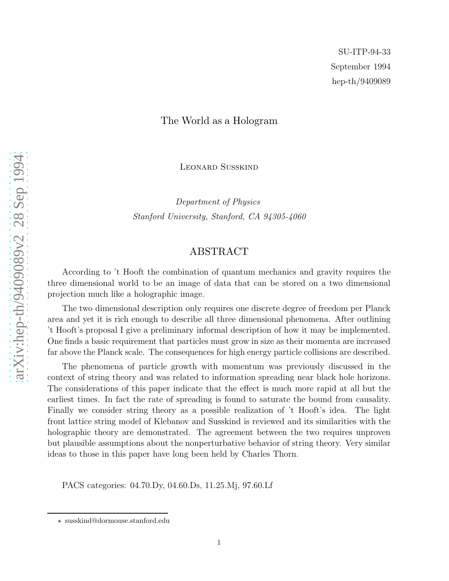# The World as a Hologram

Leonard Susskind

Department of Physics Stanford University, Stanford, CA 94305-4060

# ABSTRACT

According to 't Hooft the combination of quantum mechanics and gravity requires the three dimensional world to be an image of data that can be stored on a two dimensional projection much like a holographic image.

The two dimensional description only requires one discrete degree of freedom per Planck area and yet it is rich enough to describe all three dimensional phenomena. After outlining 't Hooft's proposal I give a preliminary informal description of how it may be implemented. One finds a basic requirement that particles must grow in size as their momenta are increased far above the Planck scale. The consequences for high energy particle collisions are described.

The phenomena of particle growth with momentum was previously discussed in the context of string theory and was related to information spreading near black hole horizons. The considerations of this paper indicate that the effect is much more rapid at all but the earliest times. In fact the rate of spreading is found to saturate the bound from causality. Finally we consider string theory as a possible realization of 't Hooft's idea. The light front lattice string model of Klebanov and Susskind is reviewed and its similarities with the holographic theory are demonstrated. The agreement between the two requires unproven but plausible assumptions about the nonperturbative behavior of string theory. Very similar ideas to those in this paper have long been held by Charles Thorn.

PACS categories: 04.70.Dy, 04.60.Ds, 11.25.Mj, 97.60.Lf

 $\star$ susskind@dormouse.stanford.edu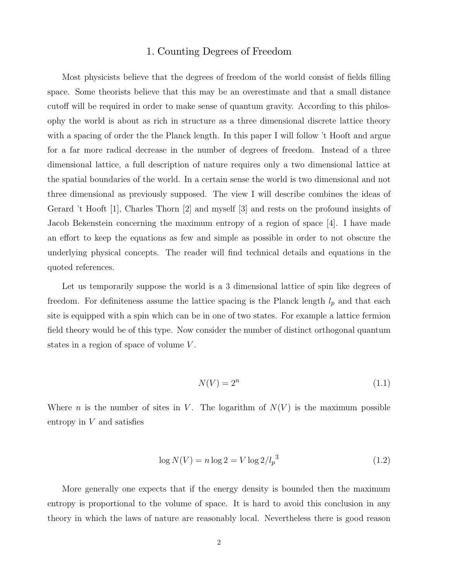# 1. Counting Degrees of Freedom

Most physicists believe that the degrees of freedom of the world consist of fields filling space. Some theorists believe that this may be an overestimate and that a small distance cutoff will be required in order to make sense of quantum gravity. According to this philosophy the world is about as rich in structure as a three dimensional discrete lattice theory with a spacing of order the the Planck length. In this paper I will follow 't Hooft and argue for a far more radical decrease in the number of degrees of freedom. Instead of a three dimensional lattice, a full description of nature requires only a two dimensional lattice at the spatial boundaries of the world. In a certain sense the world is two dimensional and not three dimensional as previously supposed. The view I will describe combines the ideas of Gerard 't Hooft [1], Charles Thorn [2] and myself [3] and rests on the profound insights of Jacob Bekenstein concerning the maximum entropy of a region of space [4]. I have made an effort to keep the equations as few and simple as possible in order to not obscure the underlying physical concepts. The reader will find technical details and equations in the quoted references.

Let us temporarily suppose the world is a 3 dimensional lattice of spin like degrees of freedom. For definiteness assume the lattice spacing is the Planck length  $l_p$  and that each site is equipped with a spin which can be in one of two states. For example a lattice fermion field theory would be of this type. Now consider the number of distinct orthogonal quantum states in a region of space of volume V.

$$
N(V) = 2^n \tag{1.1}
$$

Where *n* is the number of sites in V. The logarithm of  $N(V)$  is the maximum possible entropy in  $V$  and satisfies

$$
\log N(V) = n \log 2 = V \log 2 / l_p^3 \tag{1.2}
$$

More generally one expects that if the energy density is bounded then the maximum entropy is proportional to the volume of space. It is hard to avoid this conclusion in any theory in which the laws of nature are reasonably local. Nevertheless there is good reason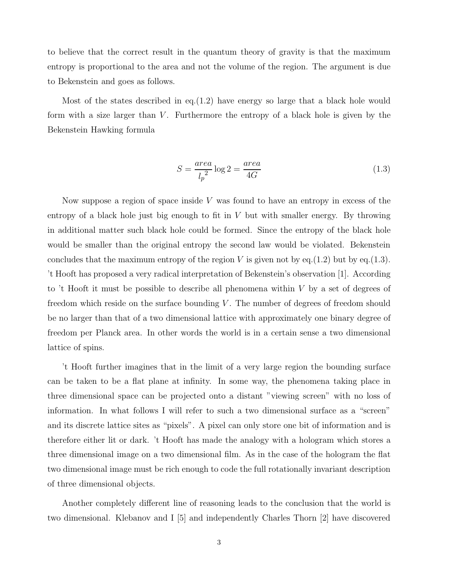to believe that the correct result in the quantum theory of gravity is that the maximum entropy is proportional to the area and not the volume of the region. The argument is due to Bekenstein and goes as follows.

Most of the states described in eq.  $(1.2)$  have energy so large that a black hole would form with a size larger than V. Furthermore the entropy of a black hole is given by the Bekenstein Hawking formula

$$
S = \frac{area}{l_p^2} \log 2 = \frac{area}{4G} \tag{1.3}
$$

Now suppose a region of space inside  $V$  was found to have an entropy in excess of the entropy of a black hole just big enough to fit in  $V$  but with smaller energy. By throwing in additional matter such black hole could be formed. Since the entropy of the black hole would be smaller than the original entropy the second law would be violated. Bekenstein concludes that the maximum entropy of the region V is given not by eq.(1.2) but by eq.(1.3). 't Hooft has proposed a very radical interpretation of Bekenstein's observation [1]. According to 't Hooft it must be possible to describe all phenomena within V by a set of degrees of freedom which reside on the surface bounding  $V$ . The number of degrees of freedom should be no larger than that of a two dimensional lattice with approximately one binary degree of freedom per Planck area. In other words the world is in a certain sense a two dimensional lattice of spins.

't Hooft further imagines that in the limit of a very large region the bounding surface can be taken to be a flat plane at infinity. In some way, the phenomena taking place in three dimensional space can be projected onto a distant "viewing screen" with no loss of information. In what follows I will refer to such a two dimensional surface as a "screen" and its discrete lattice sites as "pixels". A pixel can only store one bit of information and is therefore either lit or dark. 't Hooft has made the analogy with a hologram which stores a three dimensional image on a two dimensional film. As in the case of the hologram the flat two dimensional image must be rich enough to code the full rotationally invariant description of three dimensional objects.

Another completely different line of reasoning leads to the conclusion that the world is two dimensional. Klebanov and I [5] and independently Charles Thorn [2] have discovered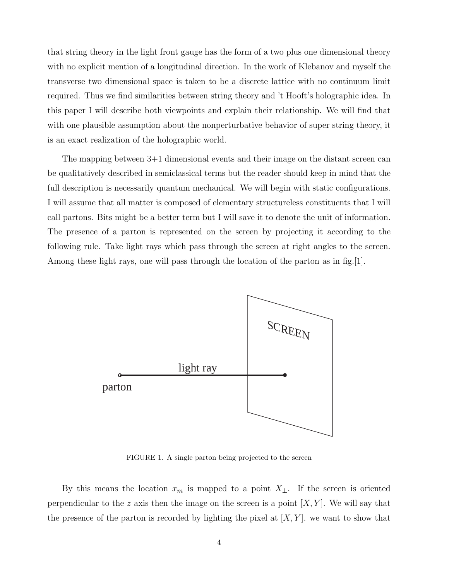that string theory in the light front gauge has the form of a two plus one dimensional theory with no explicit mention of a longitudinal direction. In the work of Klebanov and myself the transverse two dimensional space is taken to be a discrete lattice with no continuum limit required. Thus we find similarities between string theory and 't Hooft's holographic idea. In this paper I will describe both viewpoints and explain their relationship. We will find that with one plausible assumption about the nonperturbative behavior of super string theory, it is an exact realization of the holographic world.

The mapping between 3+1 dimensional events and their image on the distant screen can be qualitatively described in semiclassical terms but the reader should keep in mind that the full description is necessarily quantum mechanical. We will begin with static configurations. I will assume that all matter is composed of elementary structureless constituents that I will call partons. Bits might be a better term but I will save it to denote the unit of information. The presence of a parton is represented on the screen by projecting it according to the following rule. Take light rays which pass through the screen at right angles to the screen. Among these light rays, one will pass through the location of the parton as in fig.[1].



FIGURE 1. A single parton being projected to the screen

By this means the location  $x_m$  is mapped to a point  $X_\perp$ . If the screen is oriented perpendicular to the z axis then the image on the screen is a point  $[X, Y]$ . We will say that the presence of the parton is recorded by lighting the pixel at  $[X, Y]$ . we want to show that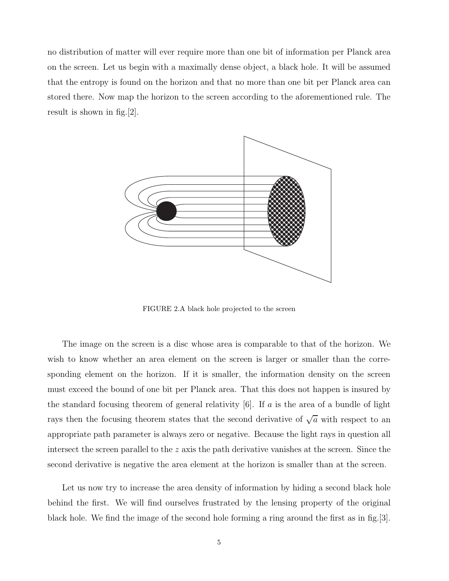no distribution of matter will ever require more than one bit of information per Planck area on the screen. Let us begin with a maximally dense object, a black hole. It will be assumed that the entropy is found on the horizon and that no more than one bit per Planck area can stored there. Now map the horizon to the screen according to the aforementioned rule. The result is shown in fig.[2].



FIGURE 2.A black hole projected to the screen

The image on the screen is a disc whose area is comparable to that of the horizon. We wish to know whether an area element on the screen is larger or smaller than the corresponding element on the horizon. If it is smaller, the information density on the screen must exceed the bound of one bit per Planck area. That this does not happen is insured by the standard focusing theorem of general relativity  $[6]$ . If a is the area of a bundle of light rays then the focusing theorem states that the second derivative of  $\sqrt{a}$  with respect to an appropriate path parameter is always zero or negative. Because the light rays in question all intersect the screen parallel to the z axis the path derivative vanishes at the screen. Since the second derivative is negative the area element at the horizon is smaller than at the screen.

Let us now try to increase the area density of information by hiding a second black hole behind the first. We will find ourselves frustrated by the lensing property of the original black hole. We find the image of the second hole forming a ring around the first as in fig.[3].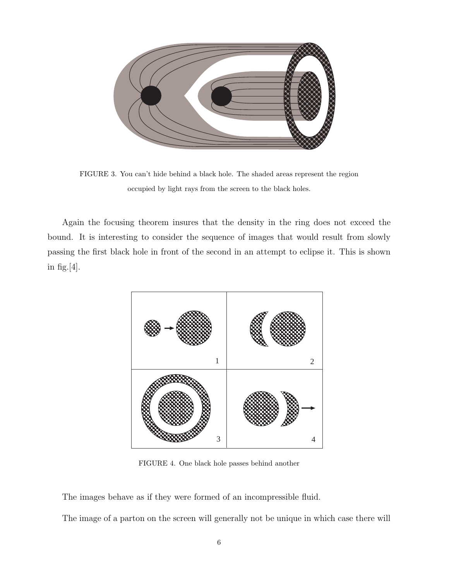

FIGURE 3. You can't hide behind a black hole. The shaded areas represent the region occupied by light rays from the screen to the black holes.

Again the focusing theorem insures that the density in the ring does not exceed the bound. It is interesting to consider the sequence of images that would result from slowly passing the first black hole in front of the second in an attempt to eclipse it. This is shown in fig.  $[4]$ .



FIGURE 4. One black hole passes behind another

The images behave as if they were formed of an incompressible fluid.

The image of a parton on the screen will generally not be unique in which case there will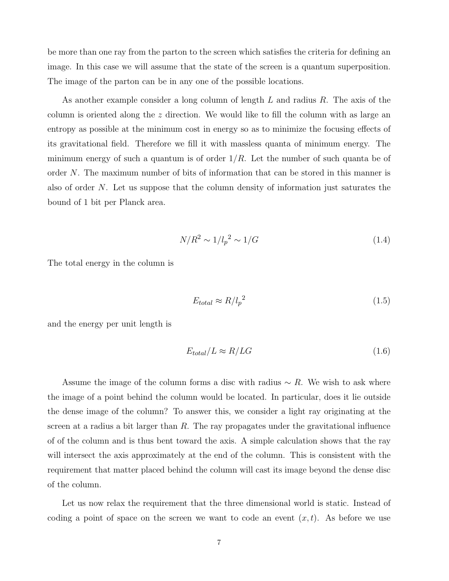be more than one ray from the parton to the screen which satisfies the criteria for defining an image. In this case we will assume that the state of the screen is a quantum superposition. The image of the parton can be in any one of the possible locations.

As another example consider a long column of length L and radius R. The axis of the column is oriented along the z direction. We would like to fill the column with as large an entropy as possible at the minimum cost in energy so as to minimize the focusing effects of its gravitational field. Therefore we fill it with massless quanta of minimum energy. The minimum energy of such a quantum is of order  $1/R$ . Let the number of such quanta be of order N. The maximum number of bits of information that can be stored in this manner is also of order N. Let us suppose that the column density of information just saturates the bound of 1 bit per Planck area.

$$
N/R^2 \sim 1/l_p^2 \sim 1/G\tag{1.4}
$$

The total energy in the column is

$$
E_{total} \approx R/l_p^2 \tag{1.5}
$$

and the energy per unit length is

$$
E_{total}/L \approx R/LG \tag{1.6}
$$

Assume the image of the column forms a disc with radius  $\sim R$ . We wish to ask where the image of a point behind the column would be located. In particular, does it lie outside the dense image of the column? To answer this, we consider a light ray originating at the screen at a radius a bit larger than  $R$ . The ray propagates under the gravitational influence of of the column and is thus bent toward the axis. A simple calculation shows that the ray will intersect the axis approximately at the end of the column. This is consistent with the requirement that matter placed behind the column will cast its image beyond the dense disc of the column.

Let us now relax the requirement that the three dimensional world is static. Instead of coding a point of space on the screen we want to code an event  $(x, t)$ . As before we use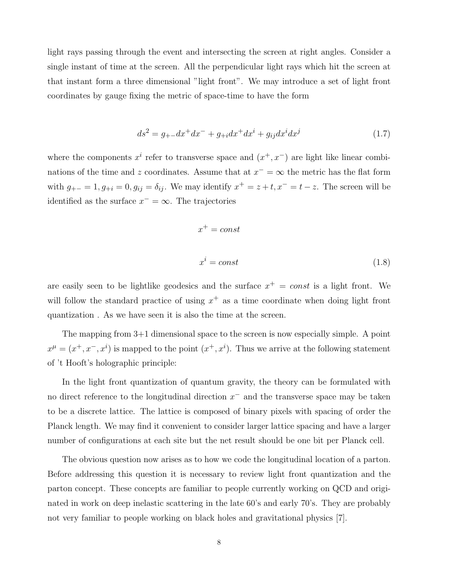light rays passing through the event and intersecting the screen at right angles. Consider a single instant of time at the screen. All the perpendicular light rays which hit the screen at that instant form a three dimensional "light front". We may introduce a set of light front coordinates by gauge fixing the metric of space-time to have the form

$$
ds^{2} = g_{+-}dx^{+}dx^{-} + g_{+i}dx^{+}dx^{i} + g_{ij}dx^{i}dx^{j}
$$
\n(1.7)

where the components  $x^i$  refer to transverse space and  $(x^+, x^-)$  are light like linear combinations of the time and z coordinates. Assume that at  $x^{-} = \infty$  the metric has the flat form with  $g_{+-} = 1, g_{+i} = 0, g_{ij} = \delta_{ij}$ . We may identify  $x^+ = z + t, x^- = t - z$ . The screen will be identified as the surface  $x^- = \infty$ . The trajectories

$$
x^+ = const
$$

$$
x^i = const \tag{1.8}
$$

are easily seen to be lightlike geodesics and the surface  $x^+ = const$  is a light front. We will follow the standard practice of using  $x^+$  as a time coordinate when doing light front quantization . As we have seen it is also the time at the screen.

The mapping from 3+1 dimensional space to the screen is now especially simple. A point  $x^{\mu} = (x^{+}, x^{-}, x^{i})$  is mapped to the point  $(x^{+}, x^{i})$ . Thus we arrive at the following statement of 't Hooft's holographic principle:

In the light front quantization of quantum gravity, the theory can be formulated with no direct reference to the longitudinal direction  $x^{-}$  and the transverse space may be taken to be a discrete lattice. The lattice is composed of binary pixels with spacing of order the Planck length. We may find it convenient to consider larger lattice spacing and have a larger number of configurations at each site but the net result should be one bit per Planck cell.

The obvious question now arises as to how we code the longitudinal location of a parton. Before addressing this question it is necessary to review light front quantization and the parton concept. These concepts are familiar to people currently working on QCD and originated in work on deep inelastic scattering in the late 60's and early 70's. They are probably not very familiar to people working on black holes and gravitational physics [7].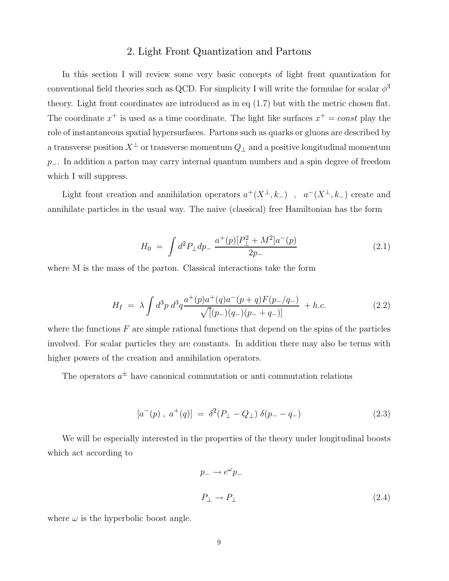# 2. Light Front Quantization and Partons

In this section I will review some very basic concepts of light front quantization for conventional field theories such as QCD. For simplicity I will write the formulae for scalar  $\phi^3$ theory. Light front coordinates are introduced as in eq (1.7) but with the metric chosen flat. The coordinate  $x^+$  is used as a time coordinate. The light like surfaces  $x^+ = const$  play the role of instantaneous spatial hypersurfaces. Partons such as quarks or gluons are described by a transverse position  $X^{\perp}$  or transverse momentum  $Q_{\perp}$  and a positive longitudinal momentum  $p_$ . In addition a parton may carry internal quantum numbers and a spin degree of freedom which I will suppress.

Light front creation and annihilation operators  $a^+(X^{\perp}, k_-)$ ,  $a^-(X^{\perp}, k_-)$  create and annihilate particles in the usual way. The naive (classical) free Hamiltonian has the form

$$
H_0 = \int d^2 P_{\perp} dp_{-} \frac{a^{+}(p)[P_{\perp}^2 + M^2]a^{-}(p)}{2p_{-}} \tag{2.1}
$$

where M is the mass of the parton. Classical interactions take the form

$$
H_I = \lambda \int d^3p \, d^3q \frac{a^+(p)a^+(q)a^-(p+q)F(p_-/q_-)}{\sqrt[(p_-)(q_-)(p_-+q_-)]} + h.c.
$$
 (2.2)

where the functions  $F$  are simple rational functions that depend on the spins of the particles involved. For scalar particles they are constants. In addition there may also be terms with higher powers of the creation and annihilation operators.

The operators  $a^{\pm}$  have canonical commutation or anti-commutation relations

$$
[a^-(p), a^+(q)] = \delta^2(P_\perp - Q_\perp) \delta(p_- - q_-)
$$
\n(2.3)

We will be especially interested in the properties of the theory under longitudinal boosts which act according to

$$
p_{-} \to e^{\omega} p_{-}
$$
  

$$
P_{\perp} \to P_{\perp}
$$
 (2.4)

where  $\omega$  is the hyperbolic boost angle.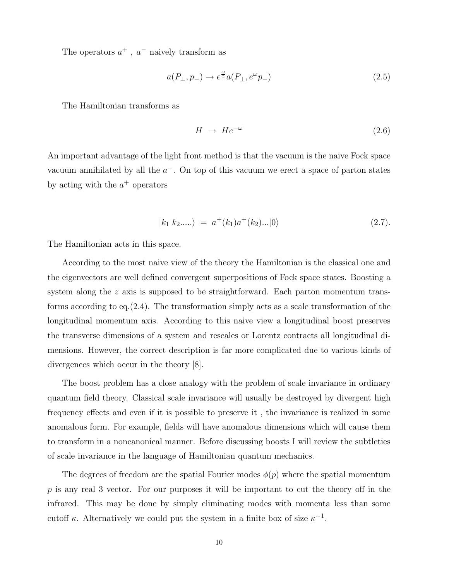The operators  $a^+$ ,  $a^-$  naively transform as

$$
a(P_{\perp}, p_{-}) \rightarrow e^{\frac{\omega}{2}} a(P_{\perp}, e^{\omega} p_{-})
$$
\n
$$
(2.5)
$$

The Hamiltonian transforms as

$$
H \to He^{-\omega} \tag{2.6}
$$

An important advantage of the light front method is that the vacuum is the naive Fock space vacuum annihilated by all the  $a^-$ . On top of this vacuum we erect a space of parton states by acting with the  $a^+$  operators

$$
|k_1 \ k_2.....\rangle = a^+(k_1)a^+(k_2)...|0\rangle \qquad (2.7).
$$

The Hamiltonian acts in this space.

According to the most naive view of the theory the Hamiltonian is the classical one and the eigenvectors are well defined convergent superpositions of Fock space states. Boosting a system along the  $z$  axis is supposed to be straightforward. Each parton momentum transforms according to eq.(2.4). The transformation simply acts as a scale transformation of the longitudinal momentum axis. According to this naive view a longitudinal boost preserves the transverse dimensions of a system and rescales or Lorentz contracts all longitudinal dimensions. However, the correct description is far more complicated due to various kinds of divergences which occur in the theory [8].

The boost problem has a close analogy with the problem of scale invariance in ordinary quantum field theory. Classical scale invariance will usually be destroyed by divergent high frequency effects and even if it is possible to preserve it , the invariance is realized in some anomalous form. For example, fields will have anomalous dimensions which will cause them to transform in a noncanonical manner. Before discussing boosts I will review the subtleties of scale invariance in the language of Hamiltonian quantum mechanics.

The degrees of freedom are the spatial Fourier modes  $\phi(p)$  where the spatial momentum  $p$  is any real 3 vector. For our purposes it will be important to cut the theory off in the infrared. This may be done by simply eliminating modes with momenta less than some cutoff  $\kappa$ . Alternatively we could put the system in a finite box of size  $\kappa^{-1}$ .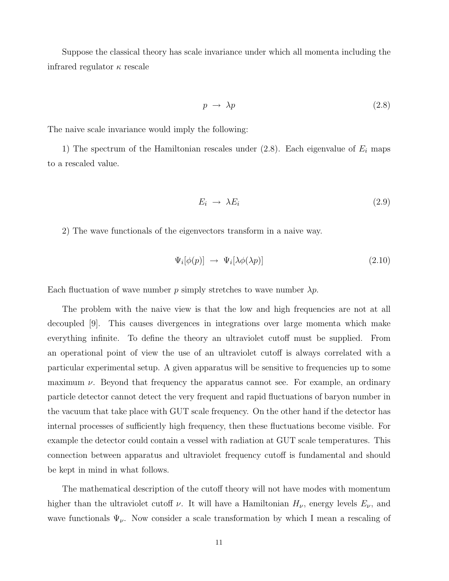Suppose the classical theory has scale invariance under which all momenta including the infrared regulator  $\kappa$  rescale

$$
p \to \lambda p \tag{2.8}
$$

The naive scale invariance would imply the following:

1) The spectrum of the Hamiltonian rescales under  $(2.8)$ . Each eigenvalue of  $E_i$  maps to a rescaled value.

$$
E_i \rightarrow \lambda E_i \tag{2.9}
$$

2) The wave functionals of the eigenvectors transform in a naive way.

$$
\Psi_i[\phi(p)] \rightarrow \Psi_i[\lambda\phi(\lambda p)] \tag{2.10}
$$

Each fluctuation of wave number p simply stretches to wave number  $\lambda p$ .

The problem with the naive view is that the low and high frequencies are not at all decoupled [9]. This causes divergences in integrations over large momenta which make everything infinite. To define the theory an ultraviolet cutoff must be supplied. From an operational point of view the use of an ultraviolet cutoff is always correlated with a particular experimental setup. A given apparatus will be sensitive to frequencies up to some maximum  $\nu$ . Beyond that frequency the apparatus cannot see. For example, an ordinary particle detector cannot detect the very frequent and rapid fluctuations of baryon number in the vacuum that take place with GUT scale frequency. On the other hand if the detector has internal processes of sufficiently high frequency, then these fluctuations become visible. For example the detector could contain a vessel with radiation at GUT scale temperatures. This connection between apparatus and ultraviolet frequency cutoff is fundamental and should be kept in mind in what follows.

The mathematical description of the cutoff theory will not have modes with momentum higher than the ultraviolet cutoff  $\nu$ . It will have a Hamiltonian  $H_{\nu}$ , energy levels  $E_{\nu}$ , and wave functionals  $\Psi_{\nu}$ . Now consider a scale transformation by which I mean a rescaling of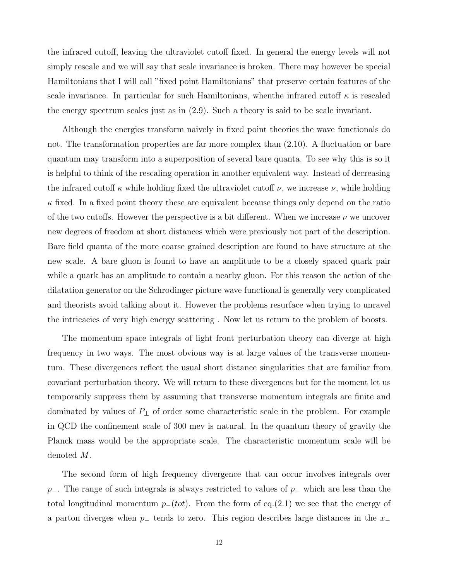the infrared cutoff, leaving the ultraviolet cutoff fixed. In general the energy levels will not simply rescale and we will say that scale invariance is broken. There may however be special Hamiltonians that I will call "fixed point Hamiltonians" that preserve certain features of the scale invariance. In particular for such Hamiltonians, when the infrared cutoff  $\kappa$  is rescaled the energy spectrum scales just as in (2.9). Such a theory is said to be scale invariant.

Although the energies transform naively in fixed point theories the wave functionals do not. The transformation properties are far more complex than (2.10). A fluctuation or bare quantum may transform into a superposition of several bare quanta. To see why this is so it is helpful to think of the rescaling operation in another equivalent way. Instead of decreasing the infrared cutoff  $\kappa$  while holding fixed the ultraviolet cutoff  $\nu$ , we increase  $\nu$ , while holding  $\kappa$  fixed. In a fixed point theory these are equivalent because things only depend on the ratio of the two cutoffs. However the perspective is a bit different. When we increase  $\nu$  we uncover new degrees of freedom at short distances which were previously not part of the description. Bare field quanta of the more coarse grained description are found to have structure at the new scale. A bare gluon is found to have an amplitude to be a closely spaced quark pair while a quark has an amplitude to contain a nearby gluon. For this reason the action of the dilatation generator on the Schrodinger picture wave functional is generally very complicated and theorists avoid talking about it. However the problems resurface when trying to unravel the intricacies of very high energy scattering . Now let us return to the problem of boosts.

The momentum space integrals of light front perturbation theory can diverge at high frequency in two ways. The most obvious way is at large values of the transverse momentum. These divergences reflect the usual short distance singularities that are familiar from covariant perturbation theory. We will return to these divergences but for the moment let us temporarily suppress them by assuming that transverse momentum integrals are finite and dominated by values of  $P_{\perp}$  of order some characteristic scale in the problem. For example in QCD the confinement scale of 300 mev is natural. In the quantum theory of gravity the Planck mass would be the appropriate scale. The characteristic momentum scale will be denoted M.

The second form of high frequency divergence that can occur involves integrals over p−. The range of such integrals is always restricted to values of  $p_-\,$  which are less than the total longitudinal momentum  $p_{-}(tot)$ . From the form of eq.(2.1) we see that the energy of a parton diverges when  $p_-\$  tends to zero. This region describes large distances in the  $x_-\$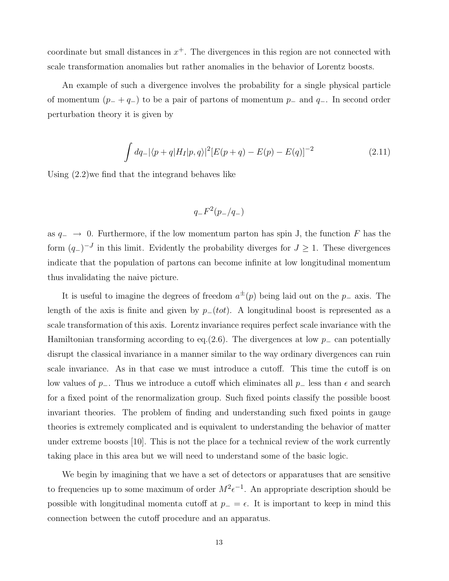coordinate but small distances in  $x^+$ . The divergences in this region are not connected with scale transformation anomalies but rather anomalies in the behavior of Lorentz boosts.

An example of such a divergence involves the probability for a single physical particle of momentum  $(p_{-} + q_{-})$  to be a pair of partons of momentum  $p_{-}$  and  $q_{-}$ . In second order perturbation theory it is given by

$$
\int dq_- |\langle p+q|H_I|p,q\rangle|^2 [E(p+q) - E(p) - E(q)]^{-2}
$$
\n(2.11)

Using (2.2)we find that the integrand behaves like

$$
q_{-}F^{2}(p_{-}/q_{-})
$$

as  $q_-\rightarrow 0$ . Furthermore, if the low momentum parton has spin J, the function F has the form  $(q_{-})^{-J}$  in this limit. Evidently the probability diverges for  $J \geq 1$ . These divergences indicate that the population of partons can become infinite at low longitudinal momentum thus invalidating the naive picture.

It is useful to imagine the degrees of freedom  $a^{\pm}(p)$  being laid out on the  $p_{-}$  axis. The length of the axis is finite and given by  $p_{-}(tot)$ . A longitudinal boost is represented as a scale transformation of this axis. Lorentz invariance requires perfect scale invariance with the Hamiltonian transforming according to eq.(2.6). The divergences at low  $p_-\,$  can potentially disrupt the classical invariance in a manner similar to the way ordinary divergences can ruin scale invariance. As in that case we must introduce a cutoff. This time the cutoff is on low values of  $p_$ . Thus we introduce a cutoff which eliminates all  $p_$ = less than  $\epsilon$  and search for a fixed point of the renormalization group. Such fixed points classify the possible boost invariant theories. The problem of finding and understanding such fixed points in gauge theories is extremely complicated and is equivalent to understanding the behavior of matter under extreme boosts [10]. This is not the place for a technical review of the work currently taking place in this area but we will need to understand some of the basic logic.

We begin by imagining that we have a set of detectors or apparatuses that are sensitive to frequencies up to some maximum of order  $M^2 \epsilon^{-1}$ . An appropriate description should be possible with longitudinal momenta cutoff at  $p_ - = \epsilon$ . It is important to keep in mind this connection between the cutoff procedure and an apparatus.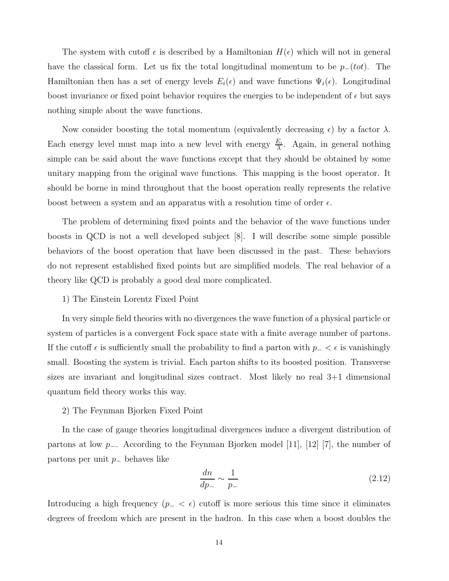The system with cutoff  $\epsilon$  is described by a Hamiltonian  $H(\epsilon)$  which will not in general have the classical form. Let us fix the total longitudinal momentum to be  $p_{-}(tot)$ . The Hamiltonian then has a set of energy levels  $E_i(\epsilon)$  and wave functions  $\Psi_i(\epsilon)$ . Longitudinal boost invariance or fixed point behavior requires the energies to be independent of  $\epsilon$  but says nothing simple about the wave functions.

Now consider boosting the total momentum (equivalently decreasing  $\epsilon$ ) by a factor  $\lambda$ . Each energy level must map into a new level with energy  $\frac{E_i}{\lambda}$ . Again, in general nothing simple can be said about the wave functions except that they should be obtained by some unitary mapping from the original wave functions. This mapping is the boost operator. It should be borne in mind throughout that the boost operation really represents the relative boost between a system and an apparatus with a resolution time of order  $\epsilon$ .

The problem of determining fixed points and the behavior of the wave functions under boosts in QCD is not a well developed subject [8]. I will describe some simple possible behaviors of the boost operation that have been discussed in the past. These behaviors do not represent established fixed points but are simplified models. The real behavior of a theory like QCD is probably a good deal more complicated.

### 1) The Einstein Lorentz Fixed Point

In very simple field theories with no divergences the wave function of a physical particle or system of particles is a convergent Fock space state with a finite average number of partons. If the cutoff  $\epsilon$  is sufficiently small the probability to find a parton with  $p_-\leq \epsilon$  is vanishingly small. Boosting the system is trivial. Each parton shifts to its boosted position. Transverse sizes are invariant and longitudinal sizes contract. Most likely no real 3+1 dimensional quantum field theory works this way.

### 2) The Feynman Bjorken Fixed Point

In the case of gauge theories longitudinal divergences induce a divergent distribution of partons at low p−. According to the Feynman Bjorken model [11], [12] [7], the number of partons per unit p− behaves like

$$
\frac{dn}{dp_{-}} \sim \frac{1}{p_{-}}\tag{2.12}
$$

Introducing a high frequency  $(p_-\lt c)$  cutoff is more serious this time since it eliminates degrees of freedom which are present in the hadron. In this case when a boost doubles the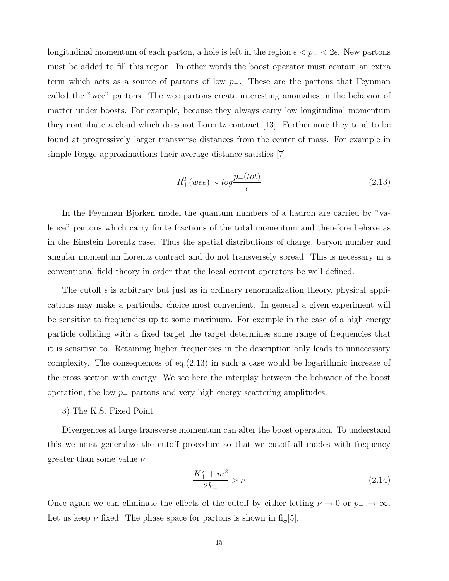longitudinal momentum of each parton, a hole is left in the region  $\epsilon < p_{-} < 2\epsilon$ . New partons must be added to fill this region. In other words the boost operator must contain an extra term which acts as a source of partons of low  $p_$ . These are the partons that Feynman called the "wee" partons. The wee partons create interesting anomalies in the behavior of matter under boosts. For example, because they always carry low longitudinal momentum they contribute a cloud which does not Lorentz contract [13]. Furthermore they tend to be found at progressively larger transverse distances from the center of mass. For example in simple Regge approximations their average distance satisfies [7]

$$
R_{\perp}^{2}(wee) \sim \log \frac{p_{-}(tot)}{\epsilon}
$$
\n(2.13)

In the Feynman Bjorken model the quantum numbers of a hadron are carried by "valence" partons which carry finite fractions of the total momentum and therefore behave as in the Einstein Lorentz case. Thus the spatial distributions of charge, baryon number and angular momentum Lorentz contract and do not transversely spread. This is necessary in a conventional field theory in order that the local current operators be well defined.

The cutoff  $\epsilon$  is arbitrary but just as in ordinary renormalization theory, physical applications may make a particular choice most convenient. In general a given experiment will be sensitive to frequencies up to some maximum. For example in the case of a high energy particle colliding with a fixed target the target determines some range of frequencies that it is sensitive to. Retaining higher frequencies in the description only leads to unnecessary complexity. The consequences of eq. $(2.13)$  in such a case would be logarithmic increase of the cross section with energy. We see here the interplay between the behavior of the boost operation, the low  $p_$  partons and very high energy scattering amplitudes.

## 3) The K.S. Fixed Point

Divergences at large transverse momentum can alter the boost operation. To understand this we must generalize the cutoff procedure so that we cutoff all modes with frequency greater than some value  $\nu$ 

$$
\frac{K_{\perp}^2 + m^2}{2k_{-}} > \nu \tag{2.14}
$$

Once again we can eliminate the effects of the cutoff by either letting  $\nu \to 0$  or  $p_-\to\infty$ . Let us keep  $\nu$  fixed. The phase space for partons is shown in fig. [5].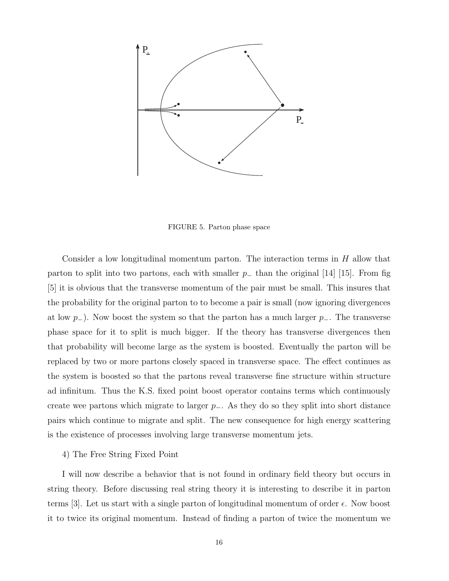

FIGURE 5. Parton phase space

Consider a low longitudinal momentum parton. The interaction terms in H allow that parton to split into two partons, each with smaller  $p_-\,$  than the original [14] [15]. From fig [5] it is obvious that the transverse momentum of the pair must be small. This insures that the probability for the original parton to to become a pair is small (now ignoring divergences at low  $p_-\rangle$ . Now boost the system so that the parton has a much larger  $p_-\rangle$ . The transverse phase space for it to split is much bigger. If the theory has transverse divergences then that probability will become large as the system is boosted. Eventually the parton will be replaced by two or more partons closely spaced in transverse space. The effect continues as the system is boosted so that the partons reveal transverse fine structure within structure ad infinitum. Thus the K.S. fixed point boost operator contains terms which continuously create wee partons which migrate to larger  $p_-\$ . As they do so they split into short distance pairs which continue to migrate and split. The new consequence for high energy scattering is the existence of processes involving large transverse momentum jets.

### 4) The Free String Fixed Point

I will now describe a behavior that is not found in ordinary field theory but occurs in string theory. Before discussing real string theory it is interesting to describe it in parton terms [3]. Let us start with a single parton of longitudinal momentum of order  $\epsilon$ . Now boost it to twice its original momentum. Instead of finding a parton of twice the momentum we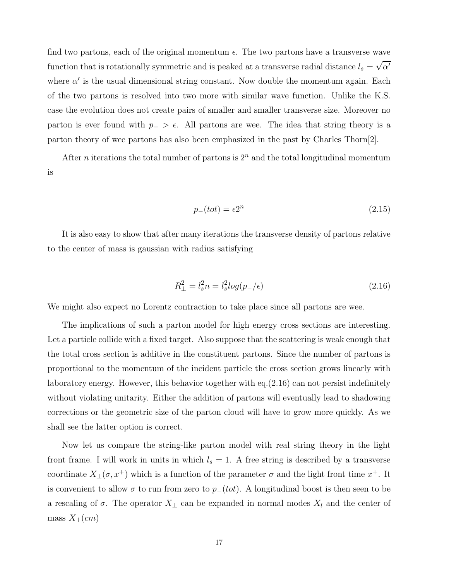find two partons, each of the original momentum  $\epsilon$ . The two partons have a transverse wave function that is rotationally symmetric and is peaked at a transverse radial distance  $l_s = \sqrt{\alpha'}$ where  $\alpha'$  is the usual dimensional string constant. Now double the momentum again. Each of the two partons is resolved into two more with similar wave function. Unlike the K.S. case the evolution does not create pairs of smaller and smaller transverse size. Moreover no parton is ever found with  $p_$  >  $\epsilon$ . All partons are wee. The idea that string theory is a parton theory of wee partons has also been emphasized in the past by Charles Thorn[2].

After *n* iterations the total number of partons is  $2^n$  and the total longitudinal momentum is

$$
p_{-}(tot) = \epsilon 2^{n} \tag{2.15}
$$

It is also easy to show that after many iterations the transverse density of partons relative to the center of mass is gaussian with radius satisfying

$$
R_{\perp}^2 = l_s^2 n = l_s^2 \log(p_-/\epsilon) \tag{2.16}
$$

We might also expect no Lorentz contraction to take place since all partons are wee.

The implications of such a parton model for high energy cross sections are interesting. Let a particle collide with a fixed target. Also suppose that the scattering is weak enough that the total cross section is additive in the constituent partons. Since the number of partons is proportional to the momentum of the incident particle the cross section grows linearly with laboratory energy. However, this behavior together with eq.(2.16) can not persist indefinitely without violating unitarity. Either the addition of partons will eventually lead to shadowing corrections or the geometric size of the parton cloud will have to grow more quickly. As we shall see the latter option is correct.

Now let us compare the string-like parton model with real string theory in the light front frame. I will work in units in which  $l_s = 1$ . A free string is described by a transverse coordinate  $X_{\perp}(\sigma, x^+)$  which is a function of the parameter  $\sigma$  and the light front time  $x^+$ . It is convenient to allow  $\sigma$  to run from zero to  $p_{-}(tot)$ . A longitudinal boost is then seen to be a rescaling of  $\sigma$ . The operator  $X_{\perp}$  can be expanded in normal modes  $X_l$  and the center of mass  $X_{\perp}(cm)$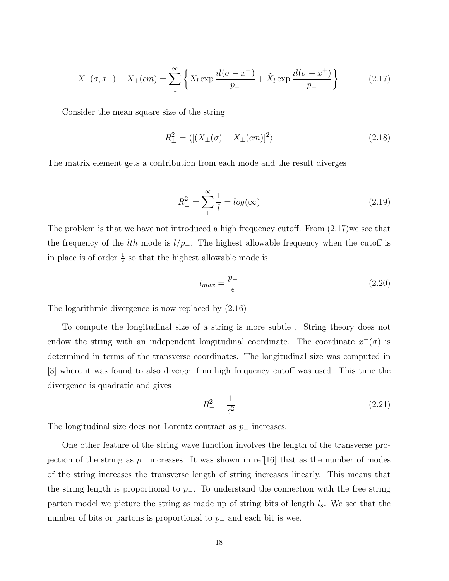$$
X_{\perp}(\sigma, x_{-}) - X_{\perp}(cm) = \sum_{1}^{\infty} \left\{ X_{l} \exp \frac{il(\sigma - x^{+})}{p_{-}} + \tilde{X}_{l} \exp \frac{il(\sigma + x^{+})}{p_{-}} \right\}
$$
(2.17)

Consider the mean square size of the string

$$
R_{\perp}^{2} = \langle [(X_{\perp}(\sigma) - X_{\perp}(cm)]^{2} \rangle \tag{2.18}
$$

The matrix element gets a contribution from each mode and the result diverges

$$
R_{\perp}^2 = \sum_{1}^{\infty} \frac{1}{l} = \log(\infty)
$$
\n(2.19)

The problem is that we have not introduced a high frequency cutoff. From (2.17)we see that the frequency of the *lth* mode is  $l/p_-.$  The highest allowable frequency when the cutoff is in place is of order  $\frac{1}{\epsilon}$  so that the highest allowable mode is

$$
l_{max} = \frac{p_{-}}{\epsilon} \tag{2.20}
$$

The logarithmic divergence is now replaced by (2.16)

To compute the longitudinal size of a string is more subtle . String theory does not endow the string with an independent longitudinal coordinate. The coordinate  $x^{-}(\sigma)$  is determined in terms of the transverse coordinates. The longitudinal size was computed in [3] where it was found to also diverge if no high frequency cutoff was used. This time the divergence is quadratic and gives

$$
R_{-}^{2} = \frac{1}{\epsilon^{2}} \tag{2.21}
$$

The longitudinal size does not Lorentz contract as  $p_-\$  increases.

One other feature of the string wave function involves the length of the transverse projection of the string as  $p_$  increases. It was shown in ref[16] that as the number of modes of the string increases the transverse length of string increases linearly. This means that the string length is proportional to  $p_-.$  To understand the connection with the free string parton model we picture the string as made up of string bits of length  $l_s$ . We see that the number of bits or partons is proportional to  $p_-\,$  and each bit is wee.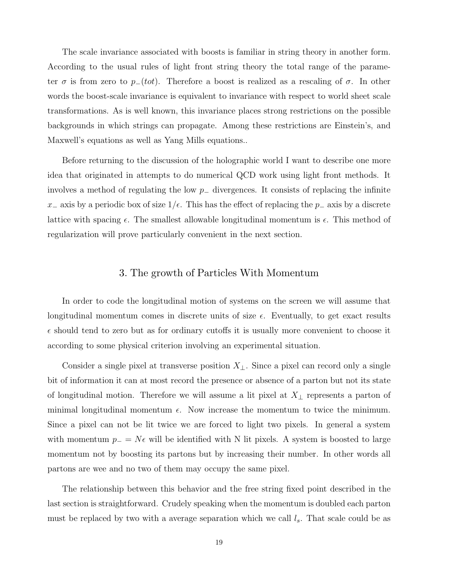The scale invariance associated with boosts is familiar in string theory in another form. According to the usual rules of light front string theory the total range of the parameter  $\sigma$  is from zero to  $p_{-}(tot)$ . Therefore a boost is realized as a rescaling of  $\sigma$ . In other words the boost-scale invariance is equivalent to invariance with respect to world sheet scale transformations. As is well known, this invariance places strong restrictions on the possible backgrounds in which strings can propagate. Among these restrictions are Einstein's, and Maxwell's equations as well as Yang Mills equations..

Before returning to the discussion of the holographic world I want to describe one more idea that originated in attempts to do numerical QCD work using light front methods. It involves a method of regulating the low  $p_-\$  divergences. It consists of replacing the infinite x− axis by a periodic box of size  $1/\epsilon$ . This has the effect of replacing the p− axis by a discrete lattice with spacing  $\epsilon$ . The smallest allowable longitudinal momentum is  $\epsilon$ . This method of regularization will prove particularly convenient in the next section.

## 3. The growth of Particles With Momentum

In order to code the longitudinal motion of systems on the screen we will assume that longitudinal momentum comes in discrete units of size  $\epsilon$ . Eventually, to get exact results  $\epsilon$  should tend to zero but as for ordinary cutoffs it is usually more convenient to choose it according to some physical criterion involving an experimental situation.

Consider a single pixel at transverse position  $X_{\perp}$ . Since a pixel can record only a single bit of information it can at most record the presence or absence of a parton but not its state of longitudinal motion. Therefore we will assume a lit pixel at  $X_{\perp}$  represents a parton of minimal longitudinal momentum  $\epsilon$ . Now increase the momentum to twice the minimum. Since a pixel can not be lit twice we are forced to light two pixels. In general a system with momentum  $p_ - = N \epsilon$  will be identified with N lit pixels. A system is boosted to large momentum not by boosting its partons but by increasing their number. In other words all partons are wee and no two of them may occupy the same pixel.

The relationship between this behavior and the free string fixed point described in the last section is straightforward. Crudely speaking when the momentum is doubled each parton must be replaced by two with a average separation which we call  $l_s$ . That scale could be as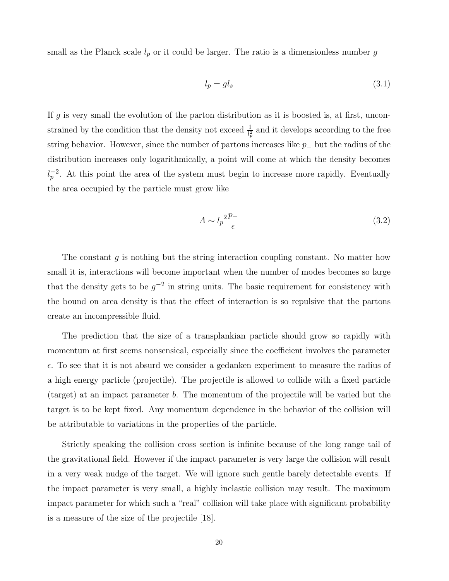small as the Planck scale  $l_p$  or it could be larger. The ratio is a dimensionless number g

$$
l_p = gl_s \tag{3.1}
$$

If g is very small the evolution of the parton distribution as it is boosted is, at first, unconstrained by the condition that the density not exceed  $\frac{1}{l_p^2}$  and it develops according to the free string behavior. However, since the number of partons increases like  $p_-\,$  but the radius of the distribution increases only logarithmically, a point will come at which the density becomes  $l_p^{-2}$ . At this point the area of the system must begin to increase more rapidly. Eventually the area occupied by the particle must grow like

$$
A \sim l_p^2 \frac{p_-}{\epsilon} \tag{3.2}
$$

The constant  $g$  is nothing but the string interaction coupling constant. No matter how small it is, interactions will become important when the number of modes becomes so large that the density gets to be  $g^{-2}$  in string units. The basic requirement for consistency with the bound on area density is that the effect of interaction is so repulsive that the partons create an incompressible fluid.

The prediction that the size of a transplankian particle should grow so rapidly with momentum at first seems nonsensical, especially since the coefficient involves the parameter  $\epsilon$ . To see that it is not absurd we consider a gedanken experiment to measure the radius of a high energy particle (projectile). The projectile is allowed to collide with a fixed particle (target) at an impact parameter b. The momentum of the projectile will be varied but the target is to be kept fixed. Any momentum dependence in the behavior of the collision will be attributable to variations in the properties of the particle.

Strictly speaking the collision cross section is infinite because of the long range tail of the gravitational field. However if the impact parameter is very large the collision will result in a very weak nudge of the target. We will ignore such gentle barely detectable events. If the impact parameter is very small, a highly inelastic collision may result. The maximum impact parameter for which such a "real" collision will take place with significant probability is a measure of the size of the projectile [18].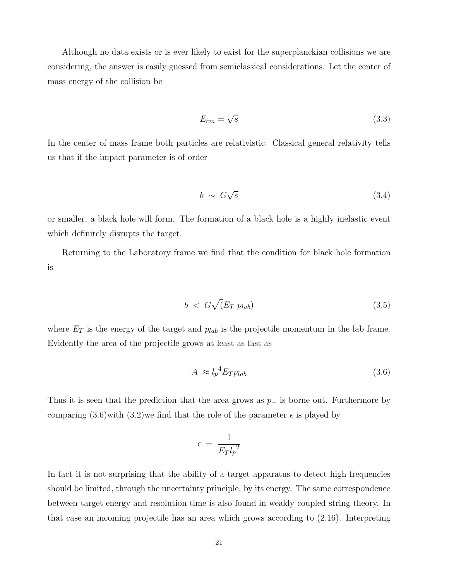Although no data exists or is ever likely to exist for the superplanckian collisions we are considering, the answer is easily guessed from semiclassical considerations. Let the center of mass energy of the collision be

$$
E_{cm} = \sqrt{s} \tag{3.3}
$$

In the center of mass frame both particles are relativistic. Classical general relativity tells us that if the impact parameter is of order

$$
b \sim G\sqrt{s} \tag{3.4}
$$

or smaller, a black hole will form. The formation of a black hole is a highly inelastic event which definitely disrupts the target.

Returning to the Laboratory frame we find that the condition for black hole formation is

$$
b \, < \, G\sqrt{\left(E_T \, p_{lab}\right)} \tag{3.5}
$$

where  $E_T$  is the energy of the target and  $p_{lab}$  is the projectile momentum in the lab frame. Evidently the area of the projectile grows at least as fast as

$$
A \approx l_p^4 E_T p_{lab} \tag{3.6}
$$

Thus it is seen that the prediction that the area grows as  $p_-\$  is borne out. Furthermore by comparing (3.6)with (3.2)we find that the role of the parameter  $\epsilon$  is played by

$$
\epsilon \; = \; \frac{1}{E_T l_p{}^2}
$$

In fact it is not surprising that the ability of a target apparatus to detect high frequencies should be limited, through the uncertainty principle, by its energy. The same correspondence between target energy and resolution time is also found in weakly coupled string theory. In that case an incoming projectile has an area which grows according to (2.16). Interpreting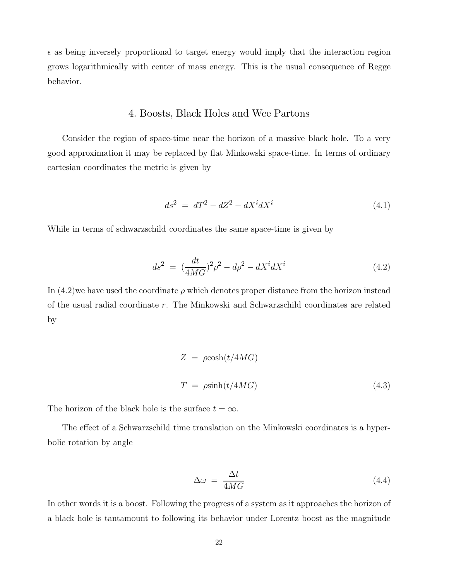$\epsilon$  as being inversely proportional to target energy would imply that the interaction region grows logarithmically with center of mass energy. This is the usual consequence of Regge behavior.

## 4. Boosts, Black Holes and Wee Partons

Consider the region of space-time near the horizon of a massive black hole. To a very good approximation it may be replaced by flat Minkowski space-time. In terms of ordinary cartesian coordinates the metric is given by

$$
ds^2 = dT^2 - dZ^2 - dX^i dX^i \tag{4.1}
$$

While in terms of schwarzschild coordinates the same space-time is given by

$$
ds^{2} = \left(\frac{dt}{4MG}\right)^{2} \rho^{2} - d\rho^{2} - dX^{i}dX^{i} \tag{4.2}
$$

In  $(4.2)$  we have used the coordinate  $\rho$  which denotes proper distance from the horizon instead of the usual radial coordinate r. The Minkowski and Schwarzschild coordinates are related by

$$
Z = \rho \cosh(t/4MG)
$$
  
\n
$$
T = \rho \sinh(t/4MG)
$$
\n(4.3)

The horizon of the black hole is the surface  $t = \infty$ .

The effect of a Schwarzschild time translation on the Minkowski coordinates is a hyperbolic rotation by angle

$$
\Delta \omega = \frac{\Delta t}{4MG} \tag{4.4}
$$

In other words it is a boost. Following the progress of a system as it approaches the horizon of a black hole is tantamount to following its behavior under Lorentz boost as the magnitude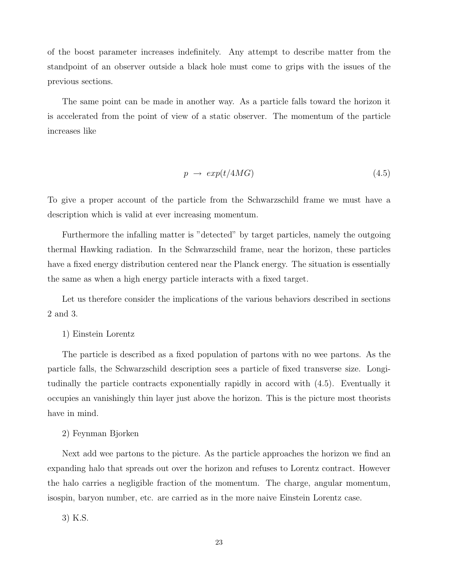of the boost parameter increases indefinitely. Any attempt to describe matter from the standpoint of an observer outside a black hole must come to grips with the issues of the previous sections.

The same point can be made in another way. As a particle falls toward the horizon it is accelerated from the point of view of a static observer. The momentum of the particle increases like

$$
p \rightarrow \exp(t/4MG) \tag{4.5}
$$

To give a proper account of the particle from the Schwarzschild frame we must have a description which is valid at ever increasing momentum.

Furthermore the infalling matter is "detected" by target particles, namely the outgoing thermal Hawking radiation. In the Schwarzschild frame, near the horizon, these particles have a fixed energy distribution centered near the Planck energy. The situation is essentially the same as when a high energy particle interacts with a fixed target.

Let us therefore consider the implications of the various behaviors described in sections 2 and 3.

#### 1) Einstein Lorentz

The particle is described as a fixed population of partons with no wee partons. As the particle falls, the Schwarzschild description sees a particle of fixed transverse size. Longitudinally the particle contracts exponentially rapidly in accord with (4.5). Eventually it occupies an vanishingly thin layer just above the horizon. This is the picture most theorists have in mind.

## 2) Feynman Bjorken

Next add wee partons to the picture. As the particle approaches the horizon we find an expanding halo that spreads out over the horizon and refuses to Lorentz contract. However the halo carries a negligible fraction of the momentum. The charge, angular momentum, isospin, baryon number, etc. are carried as in the more naive Einstein Lorentz case.

3) K.S.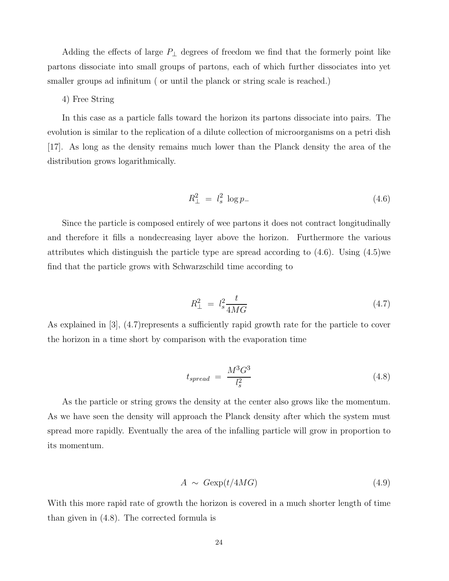Adding the effects of large  $P_{\perp}$  degrees of freedom we find that the formerly point like partons dissociate into small groups of partons, each of which further dissociates into yet smaller groups ad infinitum ( or until the planck or string scale is reached.)

## 4) Free String

In this case as a particle falls toward the horizon its partons dissociate into pairs. The evolution is similar to the replication of a dilute collection of microorganisms on a petri dish [17]. As long as the density remains much lower than the Planck density the area of the distribution grows logarithmically.

$$
R_{\perp}^2 = l_s^2 \log p_{-} \tag{4.6}
$$

Since the particle is composed entirely of wee partons it does not contract longitudinally and therefore it fills a nondecreasing layer above the horizon. Furthermore the various attributes which distinguish the particle type are spread according to (4.6). Using (4.5)we find that the particle grows with Schwarzschild time according to

$$
R_{\perp}^{2} = l_{s}^{2} \frac{t}{4MG} \tag{4.7}
$$

As explained in [3], (4.7)represents a sufficiently rapid growth rate for the particle to cover the horizon in a time short by comparison with the evaporation time

$$
t_{spread} = \frac{M^3 G^3}{l_s^2} \tag{4.8}
$$

As the particle or string grows the density at the center also grows like the momentum. As we have seen the density will approach the Planck density after which the system must spread more rapidly. Eventually the area of the infalling particle will grow in proportion to its momentum.

$$
A \sim G \exp(t/4MG) \tag{4.9}
$$

With this more rapid rate of growth the horizon is covered in a much shorter length of time than given in (4.8). The corrected formula is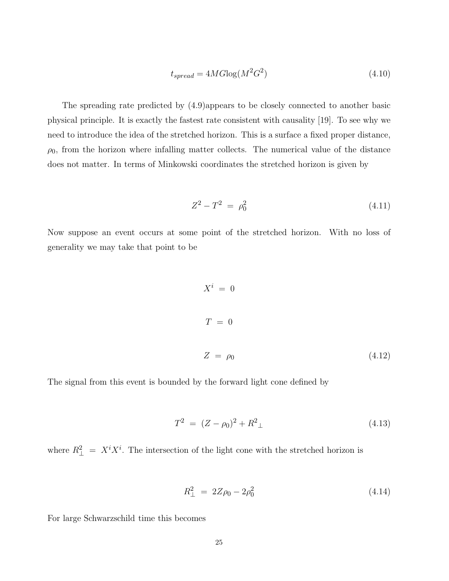$$
t_{spread} = 4MG \log(M^2 G^2)
$$
\n(4.10)

The spreading rate predicted by (4.9)appears to be closely connected to another basic physical principle. It is exactly the fastest rate consistent with causality [19]. To see why we need to introduce the idea of the stretched horizon. This is a surface a fixed proper distance,  $\rho_0$ , from the horizon where infalling matter collects. The numerical value of the distance does not matter. In terms of Minkowski coordinates the stretched horizon is given by

$$
Z^2 - T^2 = \rho_0^2 \tag{4.11}
$$

Now suppose an event occurs at some point of the stretched horizon. With no loss of generality we may take that point to be

$$
X^{i} = 0
$$
  

$$
T = 0
$$
  

$$
Z = \rho_0
$$
 (4.12)

The signal from this event is bounded by the forward light cone defined by

$$
T^2 = (Z - \rho_0)^2 + R^2_{\perp} \tag{4.13}
$$

where  $R_{\perp}^2 = X^i X^i$ . The intersection of the light cone with the stretched horizon is

$$
R_{\perp}^{2} = 2Z\rho_0 - 2\rho_0^2 \tag{4.14}
$$

For large Schwarzschild time this becomes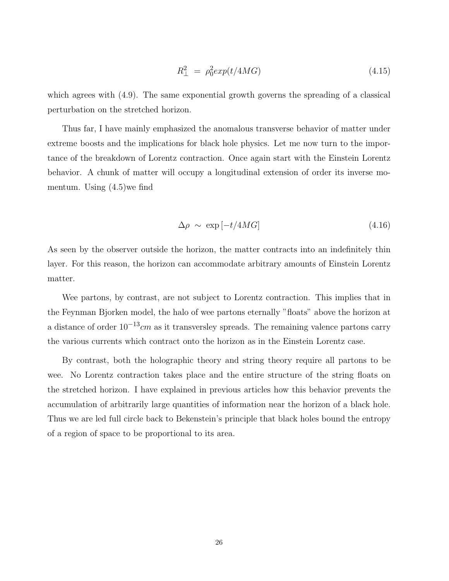$$
R_{\perp}^{2} = \rho_{0}^{2} exp(t/4MG) \tag{4.15}
$$

which agrees with  $(4.9)$ . The same exponential growth governs the spreading of a classical perturbation on the stretched horizon.

Thus far, I have mainly emphasized the anomalous transverse behavior of matter under extreme boosts and the implications for black hole physics. Let me now turn to the importance of the breakdown of Lorentz contraction. Once again start with the Einstein Lorentz behavior. A chunk of matter will occupy a longitudinal extension of order its inverse momentum. Using (4.5)we find

$$
\Delta \rho \sim \exp[-t/4MG] \tag{4.16}
$$

As seen by the observer outside the horizon, the matter contracts into an indefinitely thin layer. For this reason, the horizon can accommodate arbitrary amounts of Einstein Lorentz matter.

Wee partons, by contrast, are not subject to Lorentz contraction. This implies that in the Feynman Bjorken model, the halo of wee partons eternally "floats" above the horizon at a distance of order  $10^{-13}$ cm as it transversley spreads. The remaining valence partons carry the various currents which contract onto the horizon as in the Einstein Lorentz case.

By contrast, both the holographic theory and string theory require all partons to be wee. No Lorentz contraction takes place and the entire structure of the string floats on the stretched horizon. I have explained in previous articles how this behavior prevents the accumulation of arbitrarily large quantities of information near the horizon of a black hole. Thus we are led full circle back to Bekenstein's principle that black holes bound the entropy of a region of space to be proportional to its area.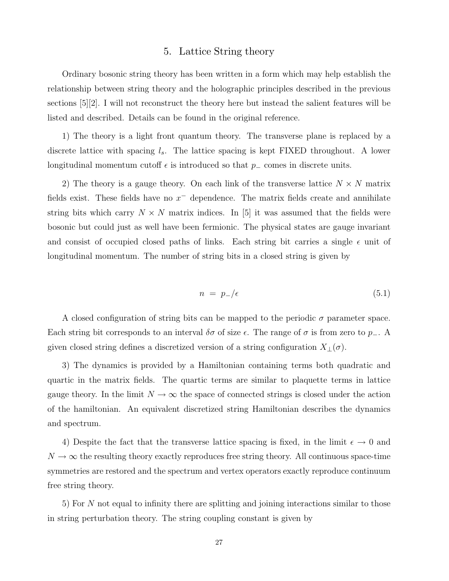# 5. Lattice String theory

Ordinary bosonic string theory has been written in a form which may help establish the relationship between string theory and the holographic principles described in the previous sections [5][2]. I will not reconstruct the theory here but instead the salient features will be listed and described. Details can be found in the original reference.

1) The theory is a light front quantum theory. The transverse plane is replaced by a discrete lattice with spacing  $l_s$ . The lattice spacing is kept FIXED throughout. A lower longitudinal momentum cutoff  $\epsilon$  is introduced so that  $p_$  comes in discrete units.

2) The theory is a gauge theory. On each link of the transverse lattice  $N \times N$  matrix fields exist. These fields have no  $x^-$  dependence. The matrix fields create and annihilate string bits which carry  $N \times N$  matrix indices. In [5] it was assumed that the fields were bosonic but could just as well have been fermionic. The physical states are gauge invariant and consist of occupied closed paths of links. Each string bit carries a single  $\epsilon$  unit of longitudinal momentum. The number of string bits in a closed string is given by

$$
n = p_-/\epsilon \tag{5.1}
$$

A closed configuration of string bits can be mapped to the periodic  $\sigma$  parameter space. Each string bit corresponds to an interval  $\delta\sigma$  of size  $\epsilon$ . The range of  $\sigma$  is from zero to  $p_-\$ . A given closed string defines a discretized version of a string configuration  $X_{\perp}(\sigma)$ .

3) The dynamics is provided by a Hamiltonian containing terms both quadratic and quartic in the matrix fields. The quartic terms are similar to plaquette terms in lattice gauge theory. In the limit  $N \to \infty$  the space of connected strings is closed under the action of the hamiltonian. An equivalent discretized string Hamiltonian describes the dynamics and spectrum.

4) Despite the fact that the transverse lattice spacing is fixed, in the limit  $\epsilon \to 0$  and  $N\rightarrow\infty$  the resulting theory exactly reproduces free string theory. All continuous space-time symmetries are restored and the spectrum and vertex operators exactly reproduce continuum free string theory.

5) For N not equal to infinity there are splitting and joining interactions similar to those in string perturbation theory. The string coupling constant is given by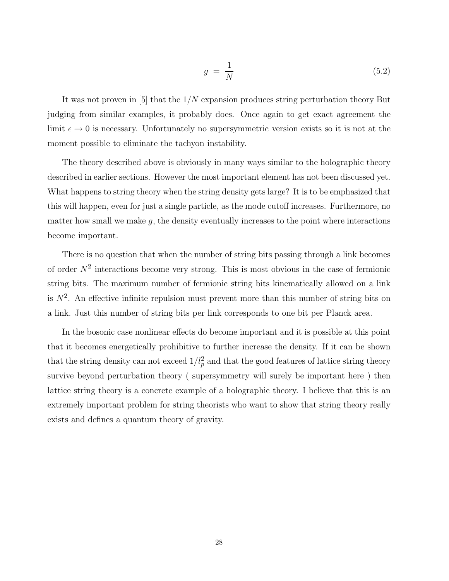$$
g = \frac{1}{N} \tag{5.2}
$$

It was not proven in  $[5]$  that the  $1/N$  expansion produces string perturbation theory But judging from similar examples, it probably does. Once again to get exact agreement the limit  $\epsilon \to 0$  is necessary. Unfortunately no supersymmetric version exists so it is not at the moment possible to eliminate the tachyon instability.

The theory described above is obviously in many ways similar to the holographic theory described in earlier sections. However the most important element has not been discussed yet. What happens to string theory when the string density gets large? It is to be emphasized that this will happen, even for just a single particle, as the mode cutoff increases. Furthermore, no matter how small we make  $g$ , the density eventually increases to the point where interactions become important.

There is no question that when the number of string bits passing through a link becomes of order  $N^2$  interactions become very strong. This is most obvious in the case of fermionic string bits. The maximum number of fermionic string bits kinematically allowed on a link is  $N^2$ . An effective infinite repulsion must prevent more than this number of string bits on a link. Just this number of string bits per link corresponds to one bit per Planck area.

In the bosonic case nonlinear effects do become important and it is possible at this point that it becomes energetically prohibitive to further increase the density. If it can be shown that the string density can not exceed  $1/l_p^2$  and that the good features of lattice string theory survive beyond perturbation theory ( supersymmetry will surely be important here ) then lattice string theory is a concrete example of a holographic theory. I believe that this is an extremely important problem for string theorists who want to show that string theory really exists and defines a quantum theory of gravity.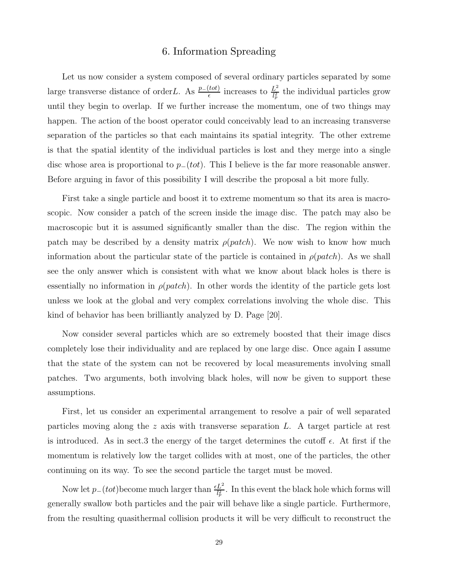# 6. Information Spreading

Let us now consider a system composed of several ordinary particles separated by some large transverse distance of orderL. As  $\frac{p_{-}(tot)}{\epsilon}$  increases to  $\frac{L^2}{l_p^2}$  $\frac{L^2}{l_p^2}$  the individual particles grow until they begin to overlap. If we further increase the momentum, one of two things may happen. The action of the boost operator could conceivably lead to an increasing transverse separation of the particles so that each maintains its spatial integrity. The other extreme is that the spatial identity of the individual particles is lost and they merge into a single disc whose area is proportional to  $p_{-}(tot)$ . This I believe is the far more reasonable answer. Before arguing in favor of this possibility I will describe the proposal a bit more fully.

First take a single particle and boost it to extreme momentum so that its area is macroscopic. Now consider a patch of the screen inside the image disc. The patch may also be macroscopic but it is assumed significantly smaller than the disc. The region within the patch may be described by a density matrix  $\rho(patch)$ . We now wish to know how much information about the particular state of the particle is contained in  $\rho(path)$ . As we shall see the only answer which is consistent with what we know about black holes is there is essentially no information in  $\rho(path)$ . In other words the identity of the particle gets lost unless we look at the global and very complex correlations involving the whole disc. This kind of behavior has been brilliantly analyzed by D. Page [20].

Now consider several particles which are so extremely boosted that their image discs completely lose their individuality and are replaced by one large disc. Once again I assume that the state of the system can not be recovered by local measurements involving small patches. Two arguments, both involving black holes, will now be given to support these assumptions.

First, let us consider an experimental arrangement to resolve a pair of well separated particles moving along the z axis with transverse separation L. A target particle at rest is introduced. As in sect.3 the energy of the target determines the cutoff  $\epsilon$ . At first if the momentum is relatively low the target collides with at most, one of the particles, the other continuing on its way. To see the second particle the target must be moved.

Now let  $p_-(tot)$  become much larger than  $\frac{eL^2}{l_p^2}$ . In this event the black hole which forms will generally swallow both particles and the pair will behave like a single particle. Furthermore, from the resulting quasithermal collision products it will be very difficult to reconstruct the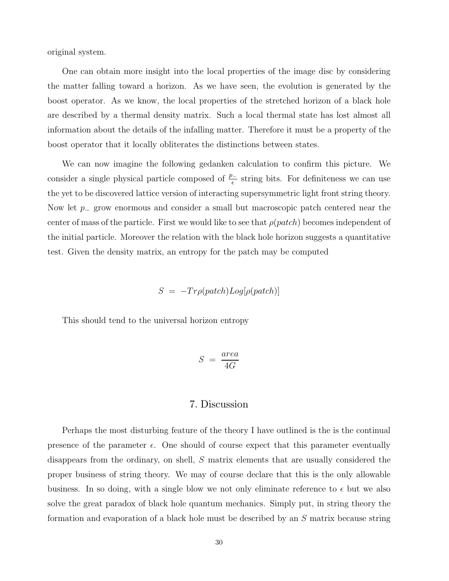original system.

One can obtain more insight into the local properties of the image disc by considering the matter falling toward a horizon. As we have seen, the evolution is generated by the boost operator. As we know, the local properties of the stretched horizon of a black hole are described by a thermal density matrix. Such a local thermal state has lost almost all information about the details of the infalling matter. Therefore it must be a property of the boost operator that it locally obliterates the distinctions between states.

We can now imagine the following gedanken calculation to confirm this picture. We consider a single physical particle composed of  $\frac{p_-}{\epsilon}$  string bits. For definiteness we can use the yet to be discovered lattice version of interacting supersymmetric light front string theory. Now let  $p_$  grow enormous and consider a small but macroscopic patch centered near the center of mass of the particle. First we would like to see that  $\rho(patch)$  becomes independent of the initial particle. Moreover the relation with the black hole horizon suggests a quantitative test. Given the density matrix, an entropy for the patch may be computed

$$
S = -Tr\rho(path)Log[\rho(path)]
$$

This should tend to the universal horizon entropy

$$
S = \frac{area}{4G}
$$

# 7. Discussion

Perhaps the most disturbing feature of the theory I have outlined is the is the continual presence of the parameter  $\epsilon$ . One should of course expect that this parameter eventually disappears from the ordinary, on shell, S matrix elements that are usually considered the proper business of string theory. We may of course declare that this is the only allowable business. In so doing, with a single blow we not only eliminate reference to  $\epsilon$  but we also solve the great paradox of black hole quantum mechanics. Simply put, in string theory the formation and evaporation of a black hole must be described by an S matrix because string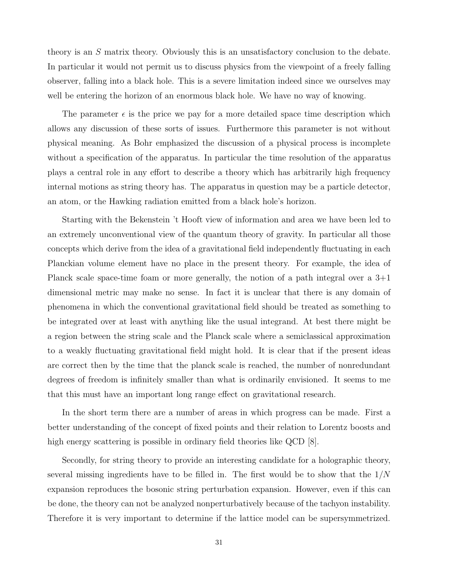theory is an S matrix theory. Obviously this is an unsatisfactory conclusion to the debate. In particular it would not permit us to discuss physics from the viewpoint of a freely falling observer, falling into a black hole. This is a severe limitation indeed since we ourselves may well be entering the horizon of an enormous black hole. We have no way of knowing.

The parameter  $\epsilon$  is the price we pay for a more detailed space time description which allows any discussion of these sorts of issues. Furthermore this parameter is not without physical meaning. As Bohr emphasized the discussion of a physical process is incomplete without a specification of the apparatus. In particular the time resolution of the apparatus plays a central role in any effort to describe a theory which has arbitrarily high frequency internal motions as string theory has. The apparatus in question may be a particle detector, an atom, or the Hawking radiation emitted from a black hole's horizon.

Starting with the Bekenstein 't Hooft view of information and area we have been led to an extremely unconventional view of the quantum theory of gravity. In particular all those concepts which derive from the idea of a gravitational field independently fluctuating in each Planckian volume element have no place in the present theory. For example, the idea of Planck scale space-time foam or more generally, the notion of a path integral over a 3+1 dimensional metric may make no sense. In fact it is unclear that there is any domain of phenomena in which the conventional gravitational field should be treated as something to be integrated over at least with anything like the usual integrand. At best there might be a region between the string scale and the Planck scale where a semiclassical approximation to a weakly fluctuating gravitational field might hold. It is clear that if the present ideas are correct then by the time that the planck scale is reached, the number of nonredundant degrees of freedom is infinitely smaller than what is ordinarily envisioned. It seems to me that this must have an important long range effect on gravitational research.

In the short term there are a number of areas in which progress can be made. First a better understanding of the concept of fixed points and their relation to Lorentz boosts and high energy scattering is possible in ordinary field theories like QCD [8].

Secondly, for string theory to provide an interesting candidate for a holographic theory, several missing ingredients have to be filled in. The first would be to show that the  $1/N$ expansion reproduces the bosonic string perturbation expansion. However, even if this can be done, the theory can not be analyzed nonperturbatively because of the tachyon instability. Therefore it is very important to determine if the lattice model can be supersymmetrized.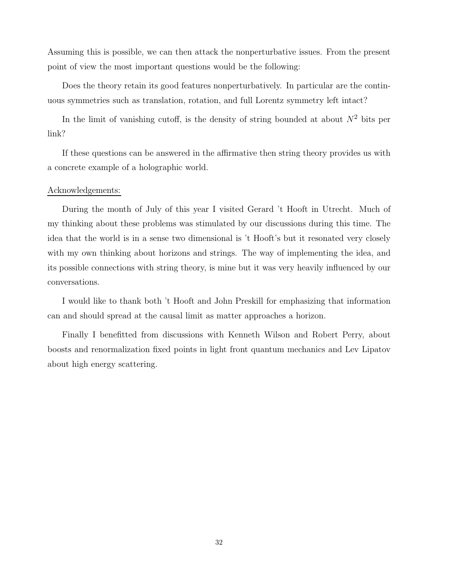Assuming this is possible, we can then attack the nonperturbative issues. From the present point of view the most important questions would be the following:

Does the theory retain its good features nonperturbatively. In particular are the continuous symmetries such as translation, rotation, and full Lorentz symmetry left intact?

In the limit of vanishing cutoff, is the density of string bounded at about  $N^2$  bits per link?

If these questions can be answered in the affirmative then string theory provides us with a concrete example of a holographic world.

## Acknowledgements:

During the month of July of this year I visited Gerard 't Hooft in Utrecht. Much of my thinking about these problems was stimulated by our discussions during this time. The idea that the world is in a sense two dimensional is 't Hooft's but it resonated very closely with my own thinking about horizons and strings. The way of implementing the idea, and its possible connections with string theory, is mine but it was very heavily influenced by our conversations.

I would like to thank both 't Hooft and John Preskill for emphasizing that information can and should spread at the causal limit as matter approaches a horizon.

Finally I benefitted from discussions with Kenneth Wilson and Robert Perry, about boosts and renormalization fixed points in light front quantum mechanics and Lev Lipatov about high energy scattering.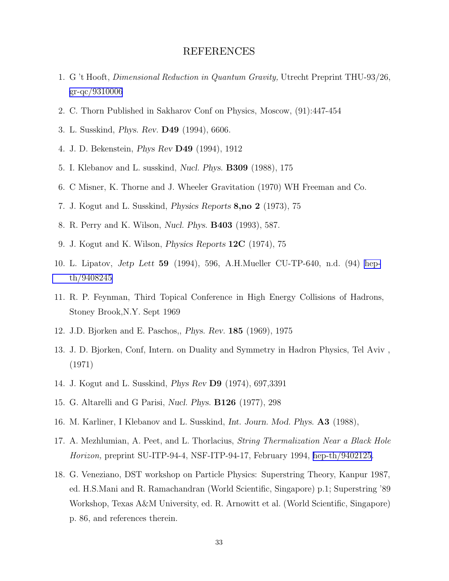## REFERENCES

- 1. G 't Hooft, Dimensional Reduction in Quantum Gravity, Utrecht Preprint THU-93/26, [gr-qc/9310006](http://arxiv.org/abs/gr-qc/9310006)
- 2. C. Thorn Published in Sakharov Conf on Physics, Moscow, (91):447-454
- 3. L. Susskind, Phys. Rev. D49 (1994), 6606.
- 4. J. D. Bekenstein, Phys Rev D49 (1994), 1912
- 5. I. Klebanov and L. susskind, Nucl. Phys. B309 (1988), 175
- 6. C Misner, K. Thorne and J. Wheeler Gravitation (1970) WH Freeman and Co.
- 7. J. Kogut and L. Susskind, Physics Reports 8,no 2 (1973), 75
- 8. R. Perry and K. Wilson, Nucl. Phys. B403 (1993), 587.
- 9. J. Kogut and K. Wilson, Physics Reports 12C (1974), 75
- 10. L. Lipatov, Jetp Lett 59 (1994), 596, A.H.Mueller CU-TP-640, n.d. (94) [hep](http://arxiv.org/abs/hep-th/9408245)[th/9408245](http://arxiv.org/abs/hep-th/9408245)
- 11. R. P. Feynman, Third Topical Conference in High Energy Collisions of Hadrons, Stoney Brook,N.Y. Sept 1969
- 12. J.D. Bjorken and E. Paschos,, Phys. Rev. 185 (1969), 1975
- 13. J. D. Bjorken, Conf, Intern. on Duality and Symmetry in Hadron Physics, Tel Aviv , (1971)
- 14. J. Kogut and L. Susskind, Phys Rev D9 (1974), 697,3391
- 15. G. Altarelli and G Parisi, Nucl. Phys. B126 (1977), 298
- 16. M. Karliner, I Klebanov and L. Susskind, Int. Journ. Mod. Phys. A3 (1988),
- 17. A. Mezhlumian, A. Peet, and L. Thorlacius, String Thermalization Near a Black Hole Horizon, preprint SU-ITP-94-4, NSF-ITP-94-17, February 1994, [hep-th/9402125.](http://arxiv.org/abs/hep-th/9402125)
- 18. G. Veneziano, DST workshop on Particle Physics: Superstring Theory, Kanpur 1987, ed. H.S.Mani and R. Ramachandran (World Scientific, Singapore) p.1; Superstring '89 Workshop, Texas A&M University, ed. R. Arnowitt et al. (World Scientific, Singapore) p. 86, and references therein.